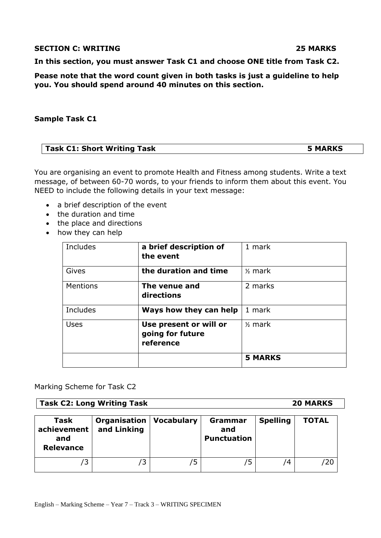## **SECTION C: WRITING 25 MARKS**

**In this section, you must answer Task C1 and choose ONE title from Task C2.** 

**Pease note that the word count given in both tasks is just a guideline to help you. You should spend around 40 minutes on this section.**

## **Sample Task C1**

You are organising an event to promote Health and Fitness among students. Write a text message, of between 60-70 words, to your friends to inform them about this event. You NEED to include the following details in your text message:

- a brief description of the event
- the duration and time
- the place and directions
- how they can help

| Includes        | a brief description of<br>the event                     | 1 mark             |  |
|-----------------|---------------------------------------------------------|--------------------|--|
| Gives           | the duration and time                                   | $\frac{1}{2}$ mark |  |
| Mentions        | The venue and<br>directions                             | 2 marks            |  |
| <b>Includes</b> | Ways how they can help                                  | 1 mark             |  |
| <b>Uses</b>     | Use present or will or<br>going for future<br>reference | $\frac{1}{2}$ mark |  |
|                 |                                                         | <b>5 MARKS</b>     |  |

Marking Scheme for Task C2

**Task C2: Long Writing Task 20 MARKS**

| <b>Task</b><br>achievement<br>and<br><b>Relevance</b> | Organisation<br>and Linking | <b>Vocabulary</b> | Grammar<br>and<br><b>Punctuation</b> | <b>Spelling</b> | <b>TOTAL</b> |
|-------------------------------------------------------|-----------------------------|-------------------|--------------------------------------|-----------------|--------------|
| 3                                                     | ΄3                          |                   | כ                                    | '4              | 20           |